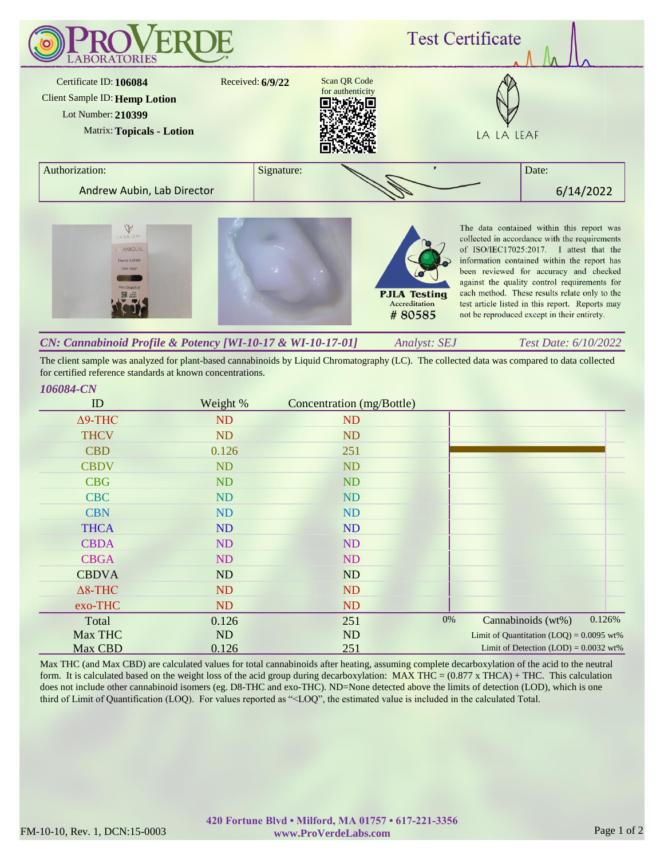

*Analyst: SEJ Test Date: 6/10/2022 CN: Cannabinoid Profile & Potency [WI-10-17 & WI-10-17-01]*

The client sample was analyzed for plant-based cannabinoids by Liquid Chromatography (LC). The collected data was compared to data collected for certified reference standards at known concentrations.

## *106084-CN*

| ID             | Weight %  | Concentration (mg/Bottle) |                                            |
|----------------|-----------|---------------------------|--------------------------------------------|
| $\Delta$ 9-THC | <b>ND</b> | <b>ND</b>                 |                                            |
| <b>THCV</b>    | <b>ND</b> | <b>ND</b>                 |                                            |
| <b>CBD</b>     | 0.126     | 251                       |                                            |
| <b>CBDV</b>    | <b>ND</b> | <b>ND</b>                 |                                            |
| <b>CBG</b>     | <b>ND</b> | <b>ND</b>                 |                                            |
| <b>CBC</b>     | <b>ND</b> | <b>ND</b>                 |                                            |
| <b>CBN</b>     | <b>ND</b> | <b>ND</b>                 |                                            |
| <b>THCA</b>    | <b>ND</b> | <b>ND</b>                 |                                            |
| <b>CBDA</b>    | <b>ND</b> | <b>ND</b>                 |                                            |
| <b>CBGA</b>    | ND        | <b>ND</b>                 |                                            |
| <b>CBDVA</b>   | ND        | ND                        |                                            |
| $\Delta$ 8-THC | ND        | <b>ND</b>                 |                                            |
| exo-THC        | ND        | <b>ND</b>                 |                                            |
| Total          | 0.126     | 251                       | 0%<br>0.126%<br>Cannabinoids (wt%)         |
| Max THC        | ND        | ND                        | Limit of Quantitation $(LOQ) = 0.0095$ wt% |
| Max CBD        | 0.126     | 251                       | Limit of Detection $(LOD) = 0.0032$ wt%    |

Max THC (and Max CBD) are calculated values for total cannabinoids after heating, assuming complete decarboxylation of the acid to the neutral form. It is calculated based on the weight loss of the acid group during decarboxylation: MAX THC = (0.877 x THCA) + THC. This calculation does not include other cannabinoid isomers (eg. D8-THC and exo-THC). ND=None detected above the limits of detection (LOD), which is one third of Limit of Quantification (LOQ). For values reported as "<LOQ", the estimated value is included in the calculated Total.